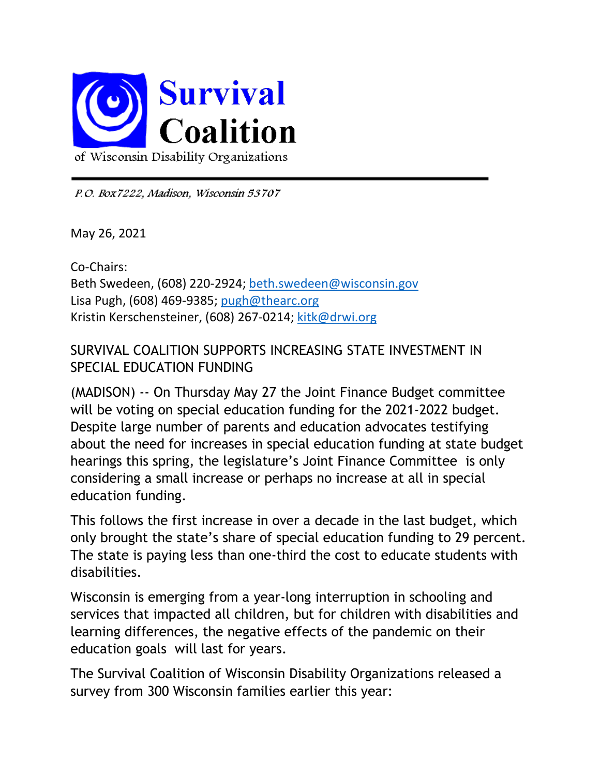

P.O. Box 7222, Madison, Wisconsin 53707

May 26, 2021

Co-Chairs: Beth Swedeen, (608) 220-2924; beth.swedeen@wisconsin.gov Lisa Pugh, (608) 469-9385; pugh@thearc.org Kristin Kerschensteiner, (608) 267-0214; kitk@drwi.org

## SURVIVAL COALITION SUPPORTS INCREASING STATE INVESTMENT IN SPECIAL EDUCATION FUNDING

(MADISON) -- On Thursday May 27 the Joint Finance Budget committee will be voting on special education funding for the 2021-2022 budget. Despite large number of parents and education advocates testifying about the need for increases in special education funding at state budget hearings this spring, the legislature's Joint Finance Committee is only considering a small increase or perhaps no increase at all in special education funding.

This follows the first increase in over a decade in the last budget, which only brought the state's share of special education funding to 29 percent. The state is paying less than one-third the cost to educate students with disabilities.

Wisconsin is emerging from a year-long interruption in schooling and services that impacted all children, but for children with disabilities and learning differences, the negative effects of the pandemic on their education goals will last for years.

The Survival Coalition of Wisconsin Disability Organizations released a survey from 300 Wisconsin families earlier this year: